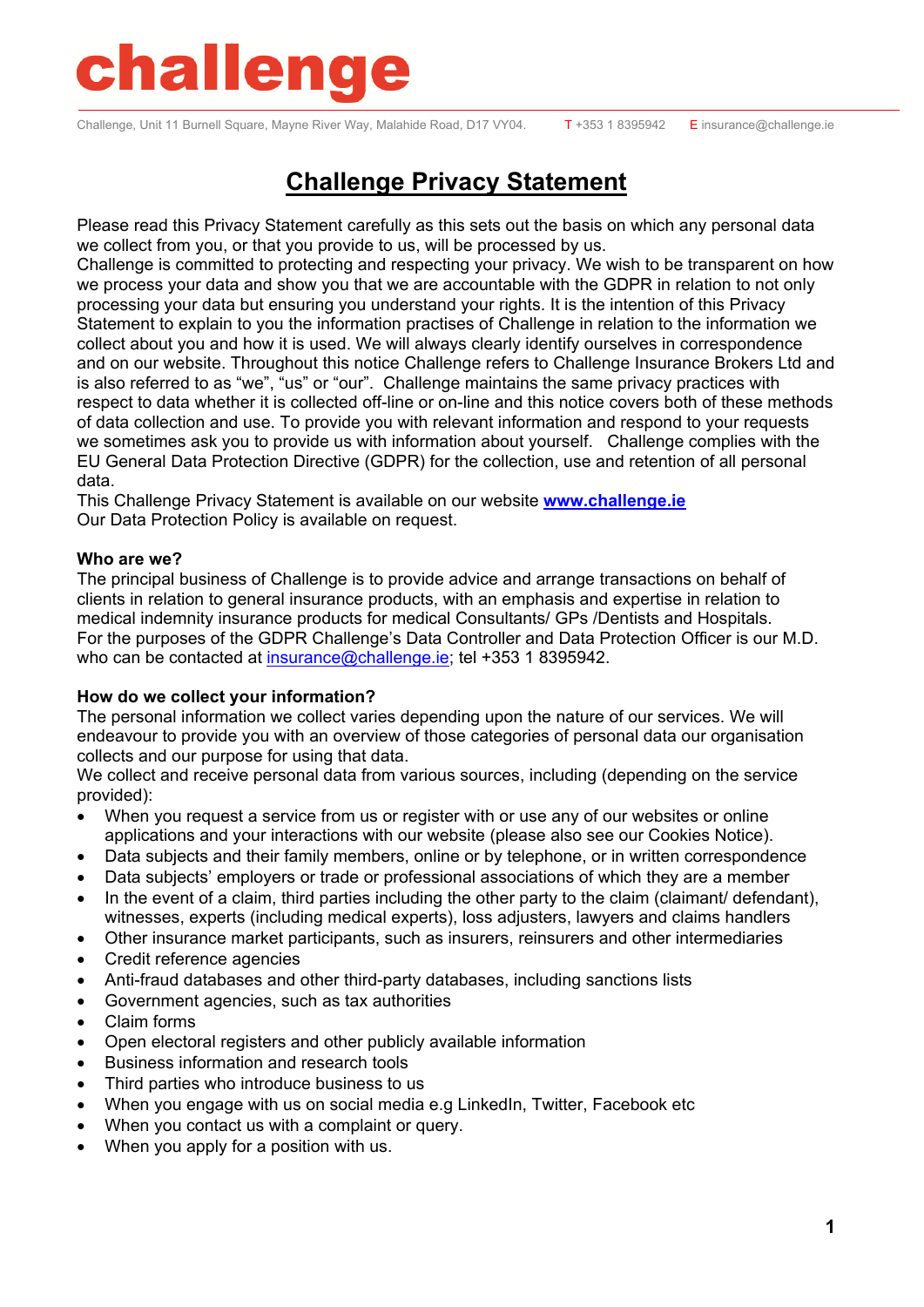Challenge, Unit 11 Burnell Square, Mayne River Way, Malahide Road, D17 VY04. T+353 1 8395942 E insurance@challenge.ie

### **Challenge Privacy Statement**

Please read this Privacy Statement carefully as this sets out the basis on which any personal data we collect from you, or that you provide to us, will be processed by us.

Challenge is committed to protecting and respecting your privacy. We wish to be transparent on how we process your data and show you that we are accountable with the GDPR in relation to not only processing your data but ensuring you understand your rights. It is the intention of this Privacy Statement to explain to you the information practises of Challenge in relation to the information we collect about you and how it is used. We will always clearly identify ourselves in correspondence and on our website. Throughout this notice Challenge refers to Challenge Insurance Brokers Ltd and is also referred to as "we", "us" or "our". Challenge maintains the same privacy practices with respect to data whether it is collected off-line or on-line and this notice covers both of these methods of data collection and use. To provide you with relevant information and respond to your requests we sometimes ask you to provide us with information about yourself. Challenge complies with the EU General Data Protection Directive (GDPR) for the collection, use and retention of all personal data.

This Challenge Privacy Statement is available on our website **www.challenge.ie** Our Data Protection Policy is available on request.

#### **Who are we?**

The principal business of Challenge is to provide advice and arrange transactions on behalf of clients in relation to general insurance products, with an emphasis and expertise in relation to medical indemnity insurance products for medical Consultants/ GPs /Dentists and Hospitals. For the purposes of the GDPR Challenge's Data Controller and Data Protection Officer is our M.D. who can be contacted at insurance@challenge.ie; tel +353 1 8395942.

#### **How do we collect your information?**

The personal information we collect varies depending upon the nature of our services. We will endeavour to provide you with an overview of those categories of personal data our organisation collects and our purpose for using that data.

We collect and receive personal data from various sources, including (depending on the service provided):

- When you request a service from us or register with or use any of our websites or online applications and your interactions with our website (please also see our Cookies Notice).
- Data subjects and their family members, online or by telephone, or in written correspondence
- Data subjects' employers or trade or professional associations of which they are a member
- In the event of a claim, third parties including the other party to the claim (claimant/ defendant), witnesses, experts (including medical experts), loss adjusters, lawyers and claims handlers
- Other insurance market participants, such as insurers, reinsurers and other intermediaries
- Credit reference agencies
- Anti-fraud databases and other third-party databases, including sanctions lists
- Government agencies, such as tax authorities
- Claim forms
- Open electoral registers and other publicly available information
- Business information and research tools
- Third parties who introduce business to us
- When you engage with us on social media e.g LinkedIn, Twitter, Facebook etc
- When you contact us with a complaint or query.
- When you apply for a position with us.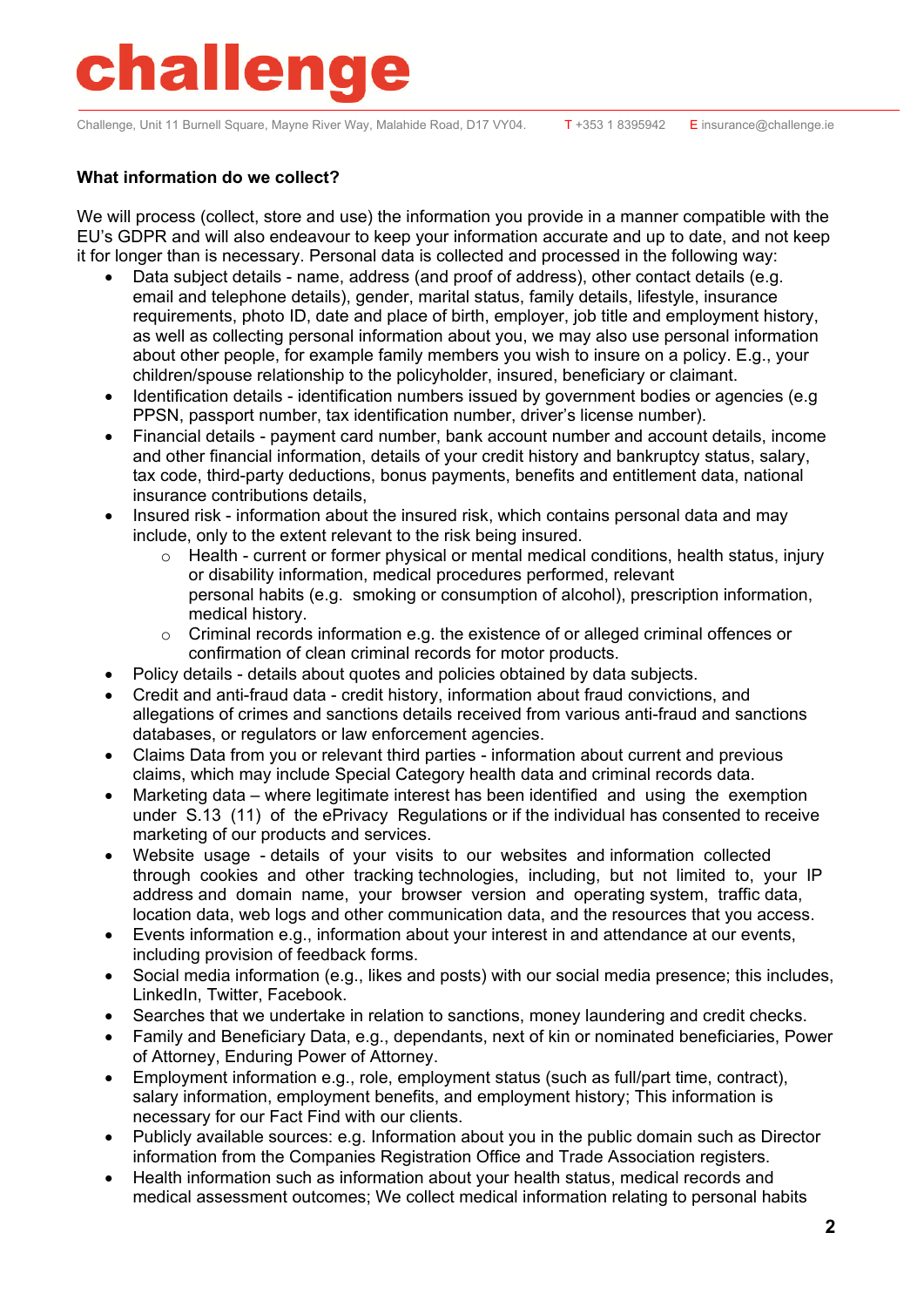Challenge, Unit 11 Burnell Square, Mayne River Way, Malahide Road, D17 VY04. T+353 1 8395942 E insurance@challenge.ie

#### **What information do we collect?**

We will process (collect, store and use) the information you provide in a manner compatible with the EU's GDPR and will also endeavour to keep your information accurate and up to date, and not keep it for longer than is necessary. Personal data is collected and processed in the following way:

- Data subject details name, address (and proof of address), other contact details (e.g. email and telephone details), gender, marital status, family details, lifestyle, insurance requirements, photo ID, date and place of birth, employer, job title and employment history, as well as collecting personal information about you, we may also use personal information about other people, for example family members you wish to insure on a policy. E.g., your children/spouse relationship to the policyholder, insured, beneficiary or claimant.
- Identification details identification numbers issued by government bodies or agencies (e.g PPSN, passport number, tax identification number, driver's license number).
- Financial details payment card number, bank account number and account details, income and other financial information, details of your credit history and bankruptcy status, salary, tax code, third-party deductions, bonus payments, benefits and entitlement data, national insurance contributions details,
- Insured risk information about the insured risk, which contains personal data and may include, only to the extent relevant to the risk being insured.
	- $\circ$  Health current or former physical or mental medical conditions, health status, injury or disability information, medical procedures performed, relevant personal habits (e.g. smoking or consumption of alcohol), prescription information, medical history.
	- o Criminal records information e.g. the existence of or alleged criminal offences or confirmation of clean criminal records for motor products.
- Policy details details about quotes and policies obtained by data subjects.
- Credit and anti-fraud data credit history, information about fraud convictions, and allegations of crimes and sanctions details received from various anti-fraud and sanctions databases, or regulators or law enforcement agencies.
- Claims Data from you or relevant third parties information about current and previous claims, which may include Special Category health data and criminal records data.
- Marketing data where legitimate interest has been identified and using the exemption under S.13 (11) of the ePrivacy Regulations or if the individual has consented to receive marketing of our products and services.
- Website usage details of your visits to our websites and information collected through cookies and other tracking technologies, including, but not limited to, your IP address and domain name, your browser version and operating system, traffic data, location data, web logs and other communication data, and the resources that you access.
- Events information e.g., information about your interest in and attendance at our events, including provision of feedback forms.
- Social media information (e.g., likes and posts) with our social media presence; this includes, LinkedIn, Twitter, Facebook.
- Searches that we undertake in relation to sanctions, money laundering and credit checks.
- Family and Beneficiary Data, e.g., dependants, next of kin or nominated beneficiaries, Power of Attorney, Enduring Power of Attorney.
- Employment information e.g., role, employment status (such as full/part time, contract), salary information, employment benefits, and employment history; This information is necessary for our Fact Find with our clients.
- Publicly available sources: e.g. Information about you in the public domain such as Director information from the Companies Registration Office and Trade Association registers.
- Health information such as information about your health status, medical records and medical assessment outcomes; We collect medical information relating to personal habits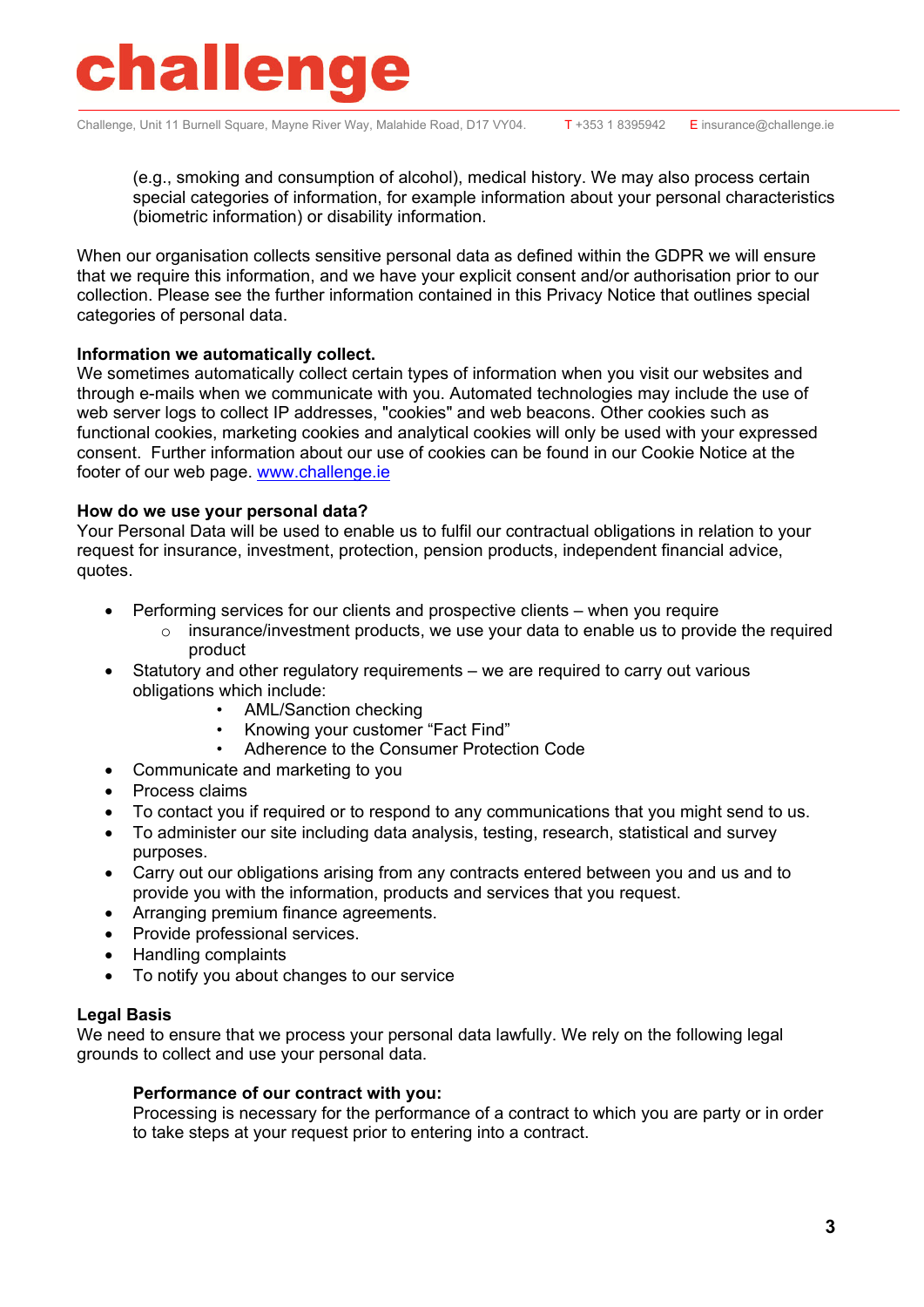

Challenge, Unit 11 Burnell Square, Mayne River Way, Malahide Road, D17 VY04. T+353 1 8395942 E insurance@challenge.ie

(e.g., smoking and consumption of alcohol), medical history. We may also process certain special categories of information, for example information about your personal characteristics (biometric information) or disability information.

When our organisation collects sensitive personal data as defined within the GDPR we will ensure that we require this information, and we have your explicit consent and/or authorisation prior to our collection. Please see the further information contained in this Privacy Notice that outlines special categories of personal data.

#### **Information we automatically collect.**

We sometimes automatically collect certain types of information when you visit our websites and through e-mails when we communicate with you. Automated technologies may include the use of web server logs to collect IP addresses, "cookies" and web beacons. Other cookies such as functional cookies, marketing cookies and analytical cookies will only be used with your expressed consent. Further information about our use of cookies can be found in our Cookie Notice at the footer of our web page. www.challenge.ie

#### **How do we use your personal data?**

Your Personal Data will be used to enable us to fulfil our contractual obligations in relation to your request for insurance, investment, protection, pension products, independent financial advice, quotes.

- Performing services for our clients and prospective clients when you require
	- $\circ$  insurance/investment products, we use your data to enable us to provide the required product
- Statutory and other regulatory requirements we are required to carry out various obligations which include:
	- AML/Sanction checking
	- Knowing your customer "Fact Find"
	- Adherence to the Consumer Protection Code
- Communicate and marketing to you
- Process claims
- To contact you if required or to respond to any communications that you might send to us.
- To administer our site including data analysis, testing, research, statistical and survey purposes.
- Carry out our obligations arising from any contracts entered between you and us and to provide you with the information, products and services that you request.
- Arranging premium finance agreements.
- Provide professional services.
- Handling complaints
- To notify you about changes to our service

#### **Legal Basis**

We need to ensure that we process your personal data lawfully. We rely on the following legal grounds to collect and use your personal data.

#### **Performance of our contract with you:**

Processing is necessary for the performance of a contract to which you are party or in order to take steps at your request prior to entering into a contract.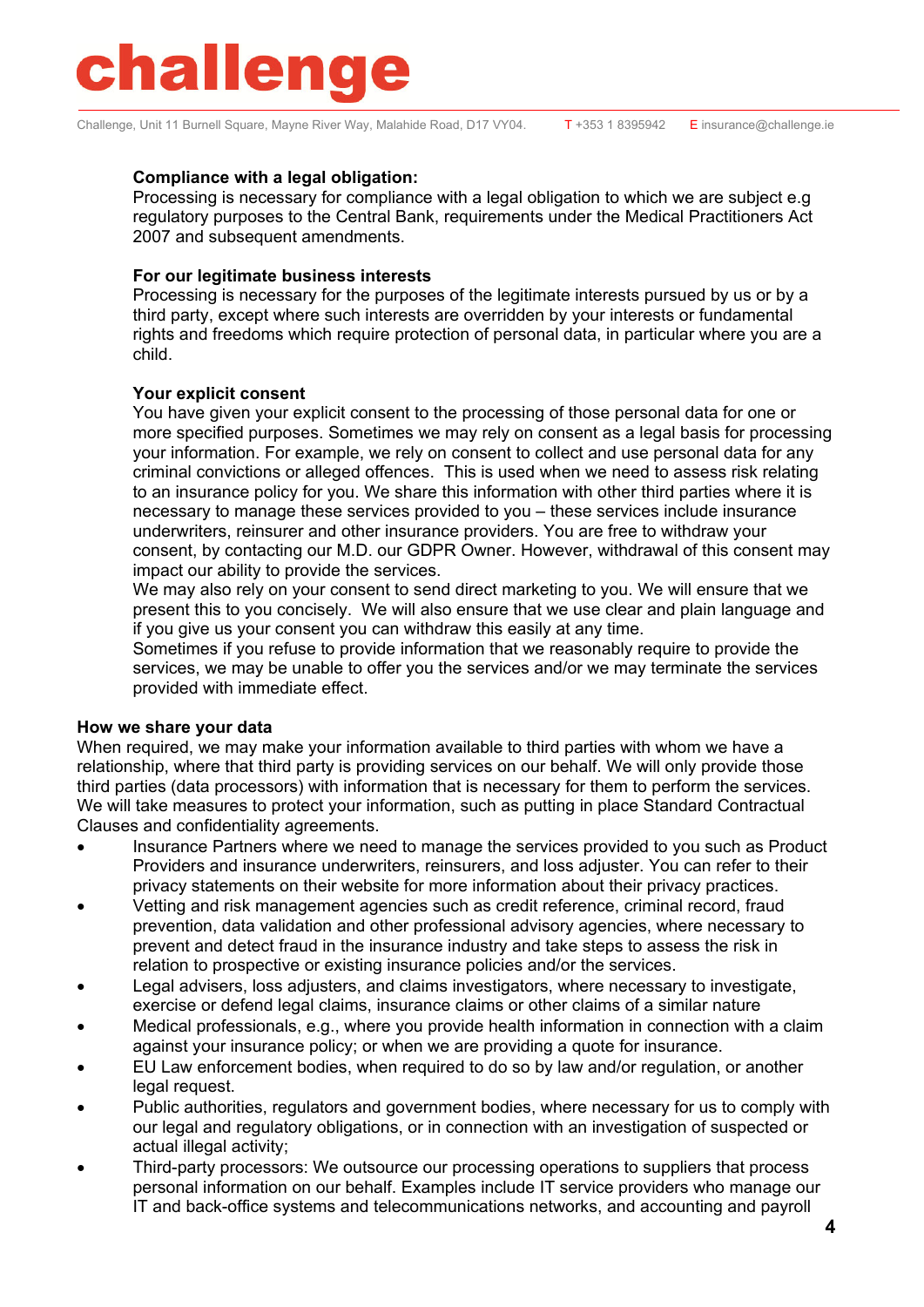## **hallenge**

Challenge, Unit 11 Burnell Square, Mayne River Way, Malahide Road, D17 VY04. T+353 1 8395942 E insurance@challenge.ie

#### **Compliance with a legal obligation:**

Processing is necessary for compliance with a legal obligation to which we are subject e.g regulatory purposes to the Central Bank, requirements under the Medical Practitioners Act 2007 and subsequent amendments.

#### **For our legitimate business interests**

Processing is necessary for the purposes of the legitimate interests pursued by us or by a third party, except where such interests are overridden by your interests or fundamental rights and freedoms which require protection of personal data, in particular where you are a child.

#### **Your explicit consent**

You have given your explicit consent to the processing of those personal data for one or more specified purposes. Sometimes we may rely on consent as a legal basis for processing your information. For example, we rely on consent to collect and use personal data for any criminal convictions or alleged offences. This is used when we need to assess risk relating to an insurance policy for you. We share this information with other third parties where it is necessary to manage these services provided to you – these services include insurance underwriters, reinsurer and other insurance providers. You are free to withdraw your consent, by contacting our M.D. our GDPR Owner. However, withdrawal of this consent may impact our ability to provide the services.

We may also rely on your consent to send direct marketing to you. We will ensure that we present this to you concisely. We will also ensure that we use clear and plain language and if you give us your consent you can withdraw this easily at any time.

Sometimes if you refuse to provide information that we reasonably require to provide the services, we may be unable to offer you the services and/or we may terminate the services provided with immediate effect.

#### **How we share your data**

When required, we may make your information available to third parties with whom we have a relationship, where that third party is providing services on our behalf. We will only provide those third parties (data processors) with information that is necessary for them to perform the services. We will take measures to protect your information, such as putting in place Standard Contractual Clauses and confidentiality agreements.

- Insurance Partners where we need to manage the services provided to you such as Product Providers and insurance underwriters, reinsurers, and loss adjuster. You can refer to their privacy statements on their website for more information about their privacy practices.
- Vetting and risk management agencies such as credit reference, criminal record, fraud prevention, data validation and other professional advisory agencies, where necessary to prevent and detect fraud in the insurance industry and take steps to assess the risk in relation to prospective or existing insurance policies and/or the services.
- Legal advisers, loss adjusters, and claims investigators, where necessary to investigate, exercise or defend legal claims, insurance claims or other claims of a similar nature
- Medical professionals, e.g., where you provide health information in connection with a claim against your insurance policy; or when we are providing a quote for insurance.
- EU Law enforcement bodies, when required to do so by law and/or regulation, or another legal request.
- Public authorities, regulators and government bodies, where necessary for us to comply with our legal and regulatory obligations, or in connection with an investigation of suspected or actual illegal activity;
- Third-party processors: We outsource our processing operations to suppliers that process personal information on our behalf. Examples include IT service providers who manage our IT and back-office systems and telecommunications networks, and accounting and payroll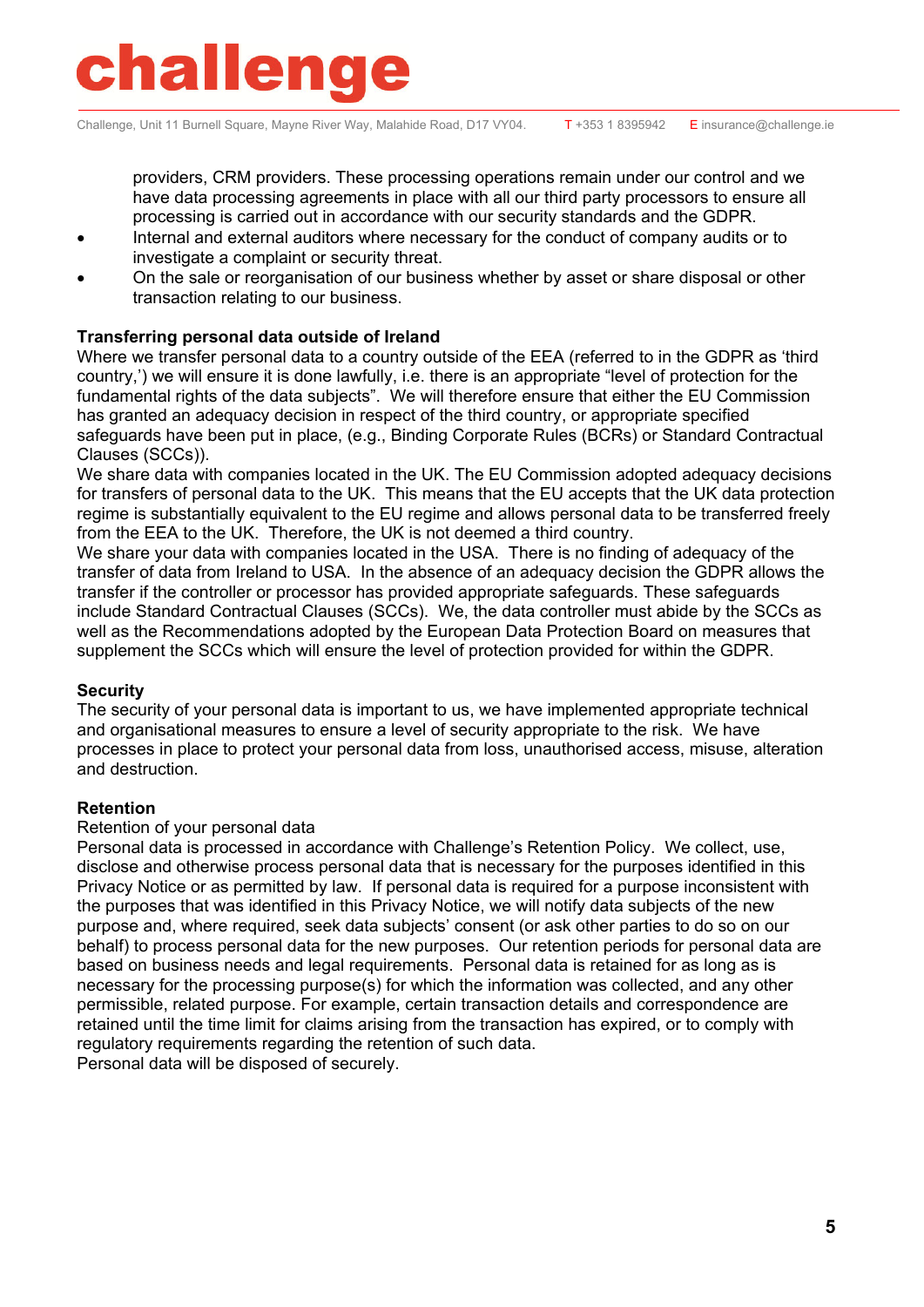### halleng

Challenge, Unit 11 Burnell Square, Mayne River Way, Malahide Road, D17 VY04. T+353 1 8395942 E insurance@challenge.ie

providers, CRM providers. These processing operations remain under our control and we have data processing agreements in place with all our third party processors to ensure all processing is carried out in accordance with our security standards and the GDPR.

- Internal and external auditors where necessary for the conduct of company audits or to investigate a complaint or security threat.
- On the sale or reorganisation of our business whether by asset or share disposal or other transaction relating to our business.

#### **Transferring personal data outside of Ireland**

Where we transfer personal data to a country outside of the EEA (referred to in the GDPR as 'third country,') we will ensure it is done lawfully, i.e. there is an appropriate "level of protection for the fundamental rights of the data subjects". We will therefore ensure that either the EU Commission has granted an adequacy decision in respect of the third country, or appropriate specified safeguards have been put in place, (e.g., Binding Corporate Rules (BCRs) or Standard Contractual Clauses (SCCs)).

We share data with companies located in the UK. The EU Commission adopted adequacy decisions for transfers of personal data to the UK. This means that the EU accepts that the UK data protection regime is substantially equivalent to the EU regime and allows personal data to be transferred freely from the EEA to the UK. Therefore, the UK is not deemed a third country.

We share your data with companies located in the USA. There is no finding of adequacy of the transfer of data from Ireland to USA. In the absence of an adequacy decision the GDPR allows the transfer if the controller or processor has provided appropriate safeguards. These safeguards include Standard Contractual Clauses (SCCs). We, the data controller must abide by the SCCs as well as the Recommendations adopted by the European Data Protection Board on measures that supplement the SCCs which will ensure the level of protection provided for within the GDPR.

#### **Security**

The security of your personal data is important to us, we have implemented appropriate technical and organisational measures to ensure a level of security appropriate to the risk. We have processes in place to protect your personal data from loss, unauthorised access, misuse, alteration and destruction.

#### **Retention**

#### Retention of your personal data

Personal data is processed in accordance with Challenge's Retention Policy. We collect, use, disclose and otherwise process personal data that is necessary for the purposes identified in this Privacy Notice or as permitted by law. If personal data is required for a purpose inconsistent with the purposes that was identified in this Privacy Notice, we will notify data subjects of the new purpose and, where required, seek data subjects' consent (or ask other parties to do so on our behalf) to process personal data for the new purposes. Our retention periods for personal data are based on business needs and legal requirements. Personal data is retained for as long as is necessary for the processing purpose(s) for which the information was collected, and any other permissible, related purpose. For example, certain transaction details and correspondence are retained until the time limit for claims arising from the transaction has expired, or to comply with regulatory requirements regarding the retention of such data.

Personal data will be disposed of securely.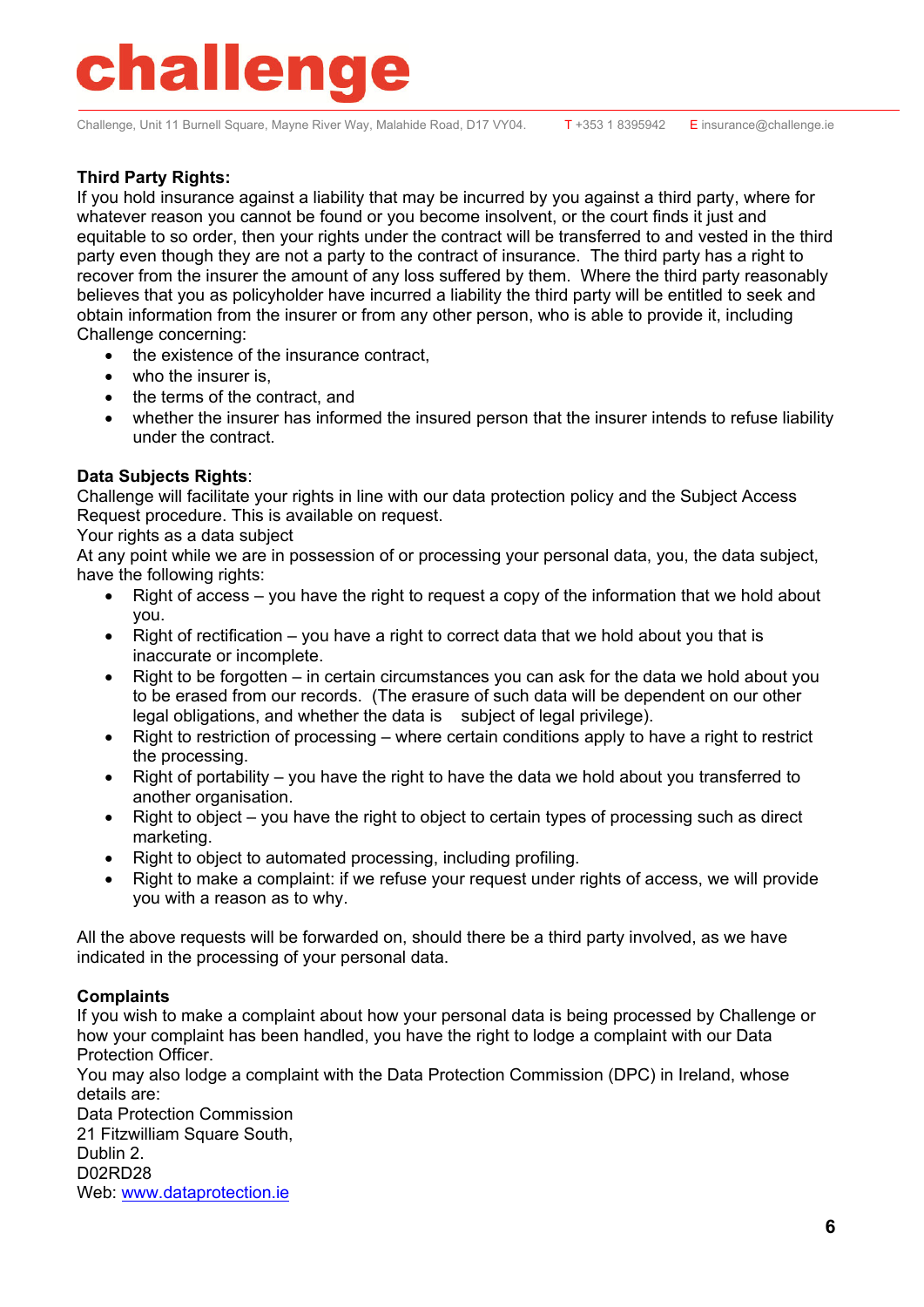## hallenge

Challenge, Unit 11 Burnell Square, Mayne River Way, Malahide Road, D17 VY04. T+353 1 8395942 E insurance@challenge.ie

#### **Third Party Rights:**

If you hold insurance against a liability that may be incurred by you against a third party, where for whatever reason you cannot be found or you become insolvent, or the court finds it just and equitable to so order, then your rights under the contract will be transferred to and vested in the third party even though they are not a party to the contract of insurance. The third party has a right to recover from the insurer the amount of any loss suffered by them. Where the third party reasonably believes that you as policyholder have incurred a liability the third party will be entitled to seek and obtain information from the insurer or from any other person, who is able to provide it, including Challenge concerning:

- the existence of the insurance contract,
- who the insurer is.
- the terms of the contract, and
- whether the insurer has informed the insured person that the insurer intends to refuse liability under the contract.

#### **Data Subjects Rights**:

Challenge will facilitate your rights in line with our data protection policy and the Subject Access Request procedure. This is available on request.

Your rights as a data subject

At any point while we are in possession of or processing your personal data, you, the data subject, have the following rights:

- Right of access you have the right to request a copy of the information that we hold about you.
- Right of rectification you have a right to correct data that we hold about you that is inaccurate or incomplete.
- Right to be forgotten in certain circumstances you can ask for the data we hold about you to be erased from our records. (The erasure of such data will be dependent on our other legal obligations, and whether the data is subject of legal privilege).
- Right to restriction of processing where certain conditions apply to have a right to restrict the processing.
- Right of portability you have the right to have the data we hold about you transferred to another organisation.
- Right to object you have the right to object to certain types of processing such as direct marketing.
- Right to object to automated processing, including profiling.
- Right to make a complaint: if we refuse your request under rights of access, we will provide you with a reason as to why.

All the above requests will be forwarded on, should there be a third party involved, as we have indicated in the processing of your personal data.

#### **Complaints**

If you wish to make a complaint about how your personal data is being processed by Challenge or how your complaint has been handled, you have the right to lodge a complaint with our Data Protection Officer.

You may also lodge a complaint with the Data Protection Commission (DPC) in Ireland, whose details are:

Data Protection Commission 21 Fitzwilliam Square South, Dublin 2. D02RD28 Web: www.dataprotection.ie